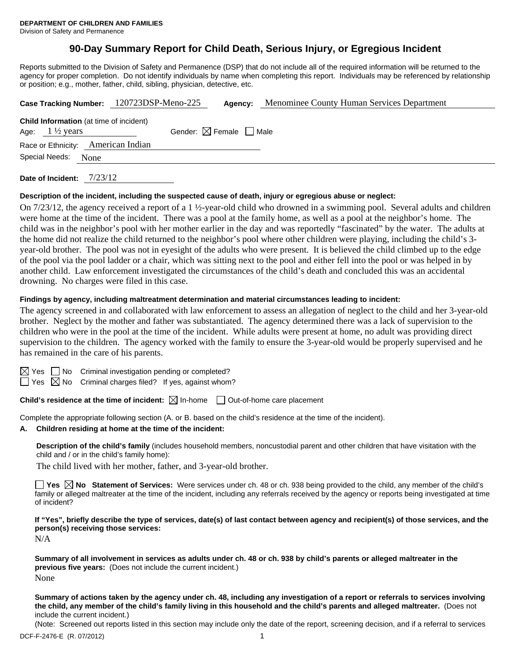# **90-Day Summary Report for Child Death, Serious Injury, or Egregious Incident**

Reports submitted to the Division of Safety and Permanence (DSP) that do not include all of the required information will be returned to the agency for proper completion. Do not identify individuals by name when completing this report. Individuals may be referenced by relationship or position; e.g., mother, father, child, sibling, physician, detective, etc.

|                           | Case Tracking Number: 120723DSP-Meno-225       |                                        | Agency: | Menominee County Human Services Department |
|---------------------------|------------------------------------------------|----------------------------------------|---------|--------------------------------------------|
| Age: $1\frac{1}{2}$ years | <b>Child Information</b> (at time of incident) | Gender: $\boxtimes$ Female $\Box$ Male |         |                                            |
|                           | Race or Ethnicity: American Indian             |                                        |         |                                            |
| Special Needs:<br>None    |                                                |                                        |         |                                            |
|                           |                                                |                                        |         |                                            |

**Date of Incident:** 7/23/12

#### **Description of the incident, including the suspected cause of death, injury or egregious abuse or neglect:**

On 7/23/12, the agency received a report of a 1 ½-year-old child who drowned in a swimming pool. Several adults and children were home at the time of the incident. There was a pool at the family home, as well as a pool at the neighbor's home. The child was in the neighbor's pool with her mother earlier in the day and was reportedly "fascinated" by the water. The adults at the home did not realize the child returned to the neighbor's pool where other children were playing, including the child's 3 year-old brother. The pool was not in eyesight of the adults who were present. It is believed the child climbed up to the edge of the pool via the pool ladder or a chair, which was sitting next to the pool and either fell into the pool or was helped in by another child. Law enforcement investigated the circumstances of the child's death and concluded this was an accidental drowning. No charges were filed in this case.

#### **Findings by agency, including maltreatment determination and material circumstances leading to incident:**

The agency screened in and collaborated with law enforcement to assess an allegation of neglect to the child and her 3-year-old brother. Neglect by the mother and father was substantiated. The agency determined there was a lack of supervision to the children who were in the pool at the time of the incident. While adults were present at home, no adult was providing direct supervision to the children. The agency worked with the family to ensure the 3-year-old would be properly supervised and he has remained in the care of his parents.

 $\boxtimes$  Yes  $\Box$  No Criminal investigation pending or completed?

 $\Box$  Yes  $\boxtimes$  No Criminal charges filed? If yes, against whom?

**Child's residence at the time of incident:**  $\boxtimes$  In-home  $\Box$  Out-of-home care placement

Complete the appropriate following section (A. or B. based on the child's residence at the time of the incident).

## **A. Children residing at home at the time of the incident:**

**Description of the child's family** (includes household members, noncustodial parent and other children that have visitation with the child and / or in the child's family home):

The child lived with her mother, father, and 3-year-old brother.

**Yes No Statement of Services:** Were services under ch. 48 or ch. 938 being provided to the child, any member of the child's family or alleged maltreater at the time of the incident, including any referrals received by the agency or reports being investigated at time of incident?

**If "Yes", briefly describe the type of services, date(s) of last contact between agency and recipient(s) of those services, and the person(s) receiving those services:** 

N/A

**Summary of all involvement in services as adults under ch. 48 or ch. 938 by child's parents or alleged maltreater in the previous five years:** (Does not include the current incident.) None

**Summary of actions taken by the agency under ch. 48, including any investigation of a report or referrals to services involving the child, any member of the child's family living in this household and the child's parents and alleged maltreater.** (Does not include the current incident.)

(Note: Screened out reports listed in this section may include only the date of the report, screening decision, and if a referral to services